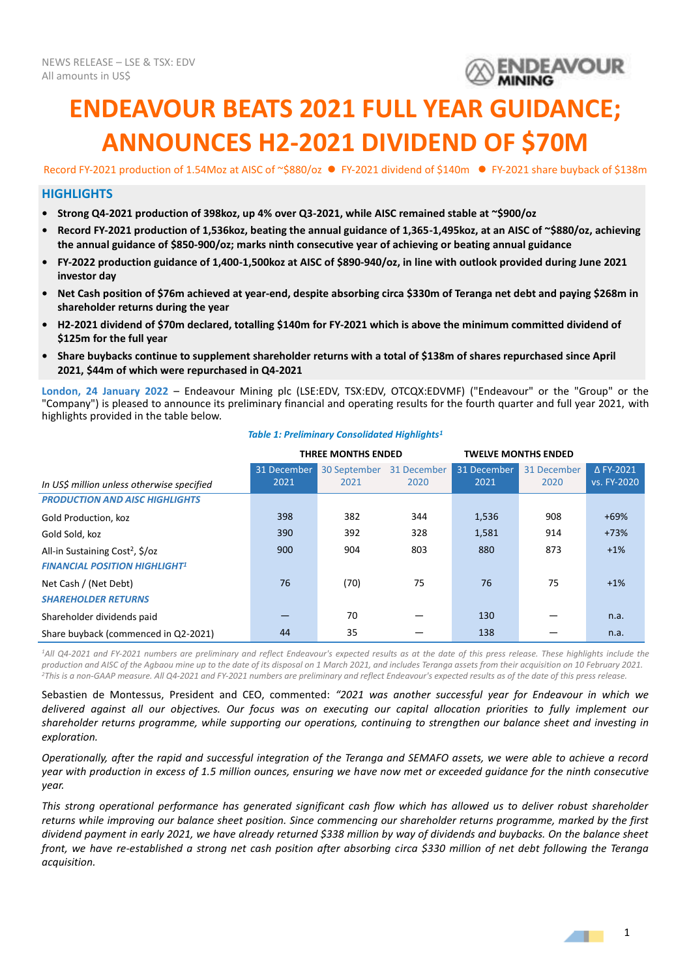

# **ENDEAVOUR BEATS 2021 FULL YEAR GUIDANCE; ANNOUNCES H2-2021 DIVIDEND OF \$70M**

Record FY-2021 production of 1.54Moz at AISC of ~\$880/oz ⚫ FY-2021 dividend of \$140m ⚫ FY-2021 share buyback of \$138m

## **HIGHLIGHTS**

- **• Strong Q4-2021 production of 398koz, up 4% over Q3-2021, while AISC remained stable at ~\$900/oz**
- **• Record FY-2021 production of 1,536koz, beating the annual guidance of 1,365-1,495koz, at an AISC of ~\$880/oz, achieving the annual guidance of \$850-900/oz; marks ninth consecutive year of achieving or beating annual guidance**
- **• FY-2022 production guidance of 1,400-1,500koz at AISC of \$890-940/oz, in line with outlook provided during June 2021 investor day**
- **• Net Cash position of \$76m achieved at year-end, despite absorbing circa \$330m of Teranga net debt and paying \$268m in shareholder returns during the year**
- **• H2-2021 dividend of \$70m declared, totalling \$140m for FY-2021 which is above the minimum committed dividend of \$125m for the full year**
- **• Share buybacks continue to supplement shareholder returns with a total of \$138m of shares repurchased since April 2021, \$44m of which were repurchased in Q4-2021**

**London, 24 January 2022** – Endeavour Mining plc (LSE:EDV, TSX:EDV, OTCQX:EDVMF) ("Endeavour" or the "Group" or the "Company") is pleased to announce its preliminary financial and operating results for the fourth quarter and full year 2021, with highlights provided in the table below.

#### *Table 1: Preliminary Consolidated Highlights<sup>1</sup>*

|                                             | THREE MONTHS ENDED |              |             | <b>TWELVE MONTHS ENDED</b> |             |                  |
|---------------------------------------------|--------------------|--------------|-------------|----------------------------|-------------|------------------|
|                                             | 31 December        | 30 September | 31 December | 31 December                | 31 December | $\Delta$ FY-2021 |
| In US\$ million unless otherwise specified  | 2021               | 2021         | 2020        | 2021                       | 2020        | vs. FY-2020      |
| <b>PRODUCTION AND AISC HIGHLIGHTS</b>       |                    |              |             |                            |             |                  |
| Gold Production, koz                        | 398                | 382          | 344         | 1,536                      | 908         | $+69%$           |
| Gold Sold, koz                              | 390                | 392          | 328         | 1,581                      | 914         | $+73%$           |
| All-in Sustaining Cost <sup>2</sup> , \$/oz | 900                | 904          | 803         | 880                        | 873         | $+1%$            |
| <b>FINANCIAL POSITION HIGHLIGHT1</b>        |                    |              |             |                            |             |                  |
| Net Cash / (Net Debt)                       | 76                 | (70)         | 75          | 76                         | 75          | $+1%$            |
| <b>SHAREHOLDER RETURNS</b>                  |                    |              |             |                            |             |                  |
| Shareholder dividends paid                  |                    | 70           |             | 130                        |             | n.a.             |
| Share buyback (commenced in Q2-2021)        | 44                 | 35           |             | 138                        |             | n.a.             |

<sup>1</sup>All Q4-2021 and FY-2021 numbers are preliminary and reflect Endeavour's expected results as at the date of this press release. These highlights include the *production and AISC of the Agbaou mine up to the date of its disposal on 1 March 2021, and includes Teranga assets from their acquisition on 10 February 2021. <sup>2</sup>This is a non-GAAP measure. All Q4-2021 and FY-2021 numbers are preliminary and reflect Endeavour's expected results as of the date of this press release.*

Sebastien de Montessus, President and CEO, commented: *"2021 was another successful year for Endeavour in which we delivered against all our objectives. Our focus was on executing our capital allocation priorities to fully implement our shareholder returns programme, while supporting our operations, continuing to strengthen our balance sheet and investing in exploration.*

*Operationally, after the rapid and successful integration of the Teranga and SEMAFO assets, we were able to achieve a record year with production in excess of 1.5 million ounces, ensuring we have now met or exceeded guidance for the ninth consecutive year.* 

*This strong operational performance has generated significant cash flow which has allowed us to deliver robust shareholder returns while improving our balance sheet position. Since commencing our shareholder returns programme, marked by the first dividend payment in early 2021, we have already returned \$338 million by way of dividends and buybacks. On the balance sheet front, we have re-established a strong net cash position after absorbing circa \$330 million of net debt following the Teranga acquisition.*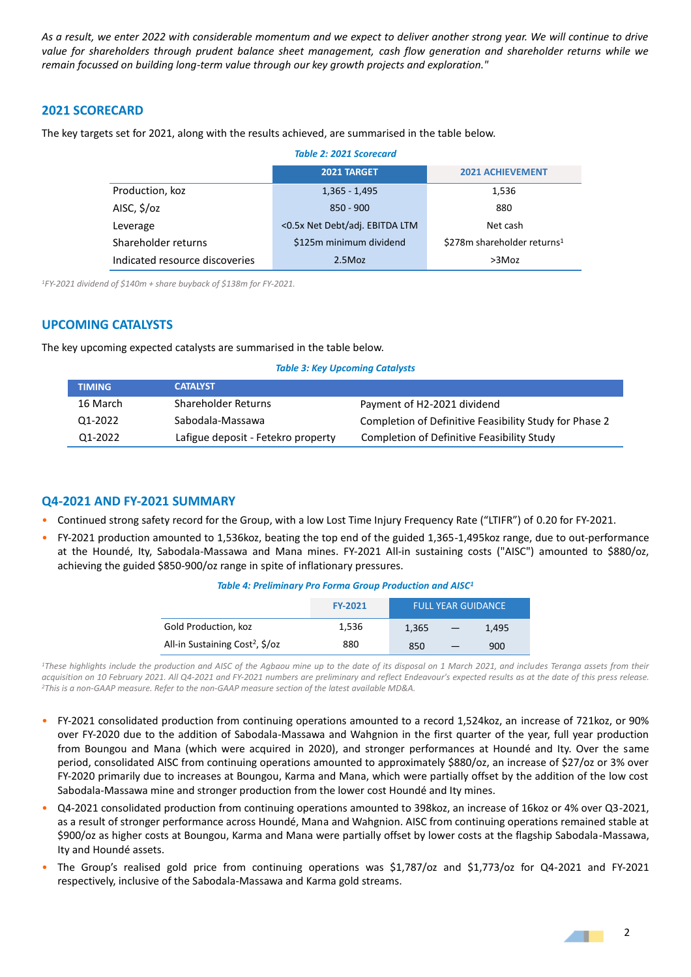*As a result, we enter 2022 with considerable momentum and we expect to deliver another strong year. We will continue to drive value for shareholders through prudent balance sheet management, cash flow generation and shareholder returns while we remain focussed on building long-term value through our key growth projects and exploration."*

## **2021 SCORECARD**

The key targets set for 2021, along with the results achieved, are summarised in the table below.

| <b>Table 2: 2021 Scorecard</b> |                                |                                         |  |  |
|--------------------------------|--------------------------------|-----------------------------------------|--|--|
|                                | 2021 TARGET                    | <b>2021 ACHIEVEMENT</b>                 |  |  |
| Production, koz                | $1,365 - 1,495$                | 1,536                                   |  |  |
| AISC, \$/oz                    | $850 - 900$                    | 880                                     |  |  |
| Leverage                       | <0.5x Net Debt/adj. EBITDA LTM | Net cash                                |  |  |
| Shareholder returns            | \$125m minimum dividend        | \$278m shareholder returns <sup>1</sup> |  |  |
| Indicated resource discoveries | 2.5Moz                         | $>3$ Moz                                |  |  |

*<sup>1</sup>FY-2021 dividend of \$140m + share buyback of \$138m for FY-2021.*

## **UPCOMING CATALYSTS**

The key upcoming expected catalysts are summarised in the table below.

#### *Table 3: Key Upcoming Catalysts*

| <b>TIMING</b> | <b>CATALYST</b>                    |                                                        |
|---------------|------------------------------------|--------------------------------------------------------|
| 16 March      | Shareholder Returns                | Payment of H2-2021 dividend                            |
| Q1-2022       | Sabodala-Massawa                   | Completion of Definitive Feasibility Study for Phase 2 |
| 01-2022       | Lafigue deposit - Fetekro property | Completion of Definitive Feasibility Study             |

# **Q4-2021 AND FY-2021 SUMMARY**

- Continued strong safety record for the Group, with a low Lost Time Injury Frequency Rate ("LTIFR") of 0.20 for FY-2021.
- FY-2021 production amounted to 1,536koz, beating the top end of the guided 1,365-1,495koz range, due to out-performance at the Houndé, Ity, Sabodala-Massawa and Mana mines. FY-2021 All-in sustaining costs ("AISC") amounted to \$880/oz, achieving the guided \$850-900/oz range in spite of inflationary pressures.

*Table 4: Preliminary Pro Forma Group Production and AISC<sup>1</sup>*

|                                             | <b>FY-2021</b> |       |                          | <b>FULL YEAR GUIDANCE</b> |
|---------------------------------------------|----------------|-------|--------------------------|---------------------------|
| Gold Production, koz                        | 1,536          | 1.365 | $\overline{\phantom{m}}$ | 1,495                     |
| All-in Sustaining Cost <sup>2</sup> , \$/oz | 880            | 850   |                          | 900                       |

<sup>1</sup>*These highlights include the production and AISC of the Agbaou mine up to the date of its disposal on 1 March 2021, and includes Teranga assets from their acquisition on 10 February 2021. All Q4-2021 and FY-2021 numbers are preliminary and reflect Endeavour's expected results as at the date of this press release. <sup>2</sup>This is a non-GAAP measure. Refer to the non-GAAP measure section of the latest available MD&A.*

- FY-2021 consolidated production from continuing operations amounted to a record 1,524koz, an increase of 721koz, or 90% over FY-2020 due to the addition of Sabodala-Massawa and Wahgnion in the first quarter of the year, full year production from Boungou and Mana (which were acquired in 2020), and stronger performances at Houndé and Ity. Over the same period, consolidated AISC from continuing operations amounted to approximately \$880/oz, an increase of \$27/oz or 3% over FY-2020 primarily due to increases at Boungou, Karma and Mana, which were partially offset by the addition of the low cost Sabodala-Massawa mine and stronger production from the lower cost Houndé and Ity mines.
- Q4-2021 consolidated production from continuing operations amounted to 398koz, an increase of 16koz or 4% over Q3-2021, as a result of stronger performance across Houndé, Mana and Wahgnion. AISC from continuing operations remained stable at \$900/oz as higher costs at Boungou, Karma and Mana were partially offset by lower costs at the flagship Sabodala-Massawa, Ity and Houndé assets.
- The Group's realised gold price from continuing operations was \$1,787/oz and \$1,773/oz for Q4-2021 and FY-2021 respectively, inclusive of the Sabodala-Massawa and Karma gold streams.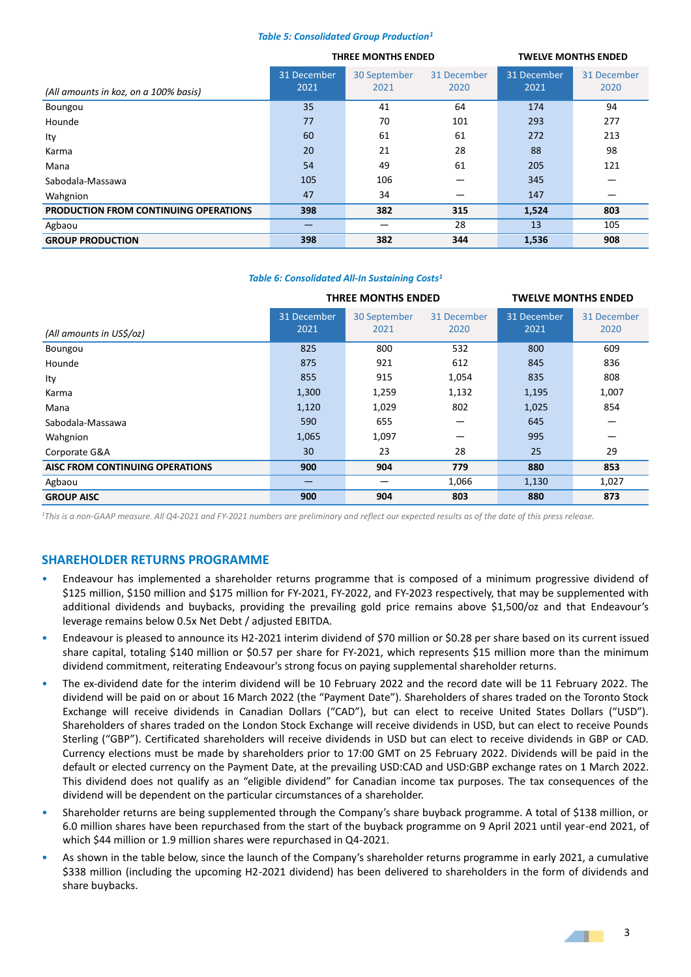#### *Table 5: Consolidated Group Production<sup>1</sup>*

|                                       |             | THREE MONTHS ENDED |             | <b>TWELVE MONTHS ENDED</b> |             |
|---------------------------------------|-------------|--------------------|-------------|----------------------------|-------------|
|                                       | 31 December | 30 September       | 31 December | 31 December                | 31 December |
| (All amounts in koz, on a 100% basis) | 2021        | 2021               | 2020        | 2021                       | 2020        |
| Boungou                               | 35          | 41                 | 64          | 174                        | 94          |
| Hounde                                | 77          | 70                 | 101         | 293                        | 277         |
| lty                                   | 60          | 61                 | 61          | 272                        | 213         |
| Karma                                 | 20          | 21                 | 28          | 88                         | 98          |
| Mana                                  | 54          | 49                 | 61          | 205                        | 121         |
| Sabodala-Massawa                      | 105         | 106                |             | 345                        |             |
| Wahgnion                              | 47          | 34                 |             | 147                        |             |
| PRODUCTION FROM CONTINUING OPERATIONS | 398         | 382                | 315         | 1,524                      | 803         |
| Agbaou                                |             |                    | 28          | 13                         | 105         |
| <b>GROUP PRODUCTION</b>               | 398         | 382                | 344         | 1,536                      | 908         |

#### *Table 6: Consolidated All-In Sustaining Costs<sup>1</sup>*

|                                 | <b>THREE MONTHS ENDED</b> |                      |                     | <b>TWELVE MONTHS ENDED</b> |                     |  |
|---------------------------------|---------------------------|----------------------|---------------------|----------------------------|---------------------|--|
| (All amounts in US\$/oz)        | 31 December<br>2021       | 30 September<br>2021 | 31 December<br>2020 | 31 December<br>2021        | 31 December<br>2020 |  |
| Boungou                         | 825                       | 800                  | 532                 | 800                        | 609                 |  |
| Hounde                          | 875                       | 921                  | 612                 | 845                        | 836                 |  |
| Ity                             | 855                       | 915                  | 1,054               | 835                        | 808                 |  |
| Karma                           | 1,300                     | 1,259                | 1,132               | 1,195                      | 1,007               |  |
| Mana                            | 1,120                     | 1,029                | 802                 | 1,025                      | 854                 |  |
| Sabodala-Massawa                | 590                       | 655                  |                     | 645                        |                     |  |
| Wahgnion                        | 1,065                     | 1,097                | –                   | 995                        |                     |  |
| Corporate G&A                   | 30                        | 23                   | 28                  | 25                         | 29                  |  |
| AISC FROM CONTINUING OPERATIONS | 900                       | 904                  | 779                 | 880                        | 853                 |  |
| Agbaou                          |                           |                      | 1,066               | 1,130                      | 1,027               |  |
| <b>GROUP AISC</b>               | 900                       | 904                  | 803                 | 880                        | 873                 |  |

*<sup>1</sup>This is a non-GAAP measure. All Q4-2021 and FY-2021 numbers are preliminary and reflect our expected results as of the date of this press release.*

## **SHAREHOLDER RETURNS PROGRAMME**

- Endeavour has implemented a shareholder returns programme that is composed of a minimum progressive dividend of \$125 million, \$150 million and \$175 million for FY-2021, FY-2022, and FY-2023 respectively, that may be supplemented with additional dividends and buybacks, providing the prevailing gold price remains above \$1,500/oz and that Endeavour's leverage remains below 0.5x Net Debt / adjusted EBITDA.
- Endeavour is pleased to announce its H2-2021 interim dividend of \$70 million or \$0.28 per share based on its current issued share capital, totaling \$140 million or \$0.57 per share for FY-2021, which represents \$15 million more than the minimum dividend commitment, reiterating Endeavour's strong focus on paying supplemental shareholder returns.
- The ex-dividend date for the interim dividend will be 10 February 2022 and the record date will be 11 February 2022. The dividend will be paid on or about 16 March 2022 (the "Payment Date"). Shareholders of shares traded on the Toronto Stock Exchange will receive dividends in Canadian Dollars ("CAD"), but can elect to receive United States Dollars ("USD"). Shareholders of shares traded on the London Stock Exchange will receive dividends in USD, but can elect to receive Pounds Sterling ("GBP"). Certificated shareholders will receive dividends in USD but can elect to receive dividends in GBP or CAD. Currency elections must be made by shareholders prior to 17:00 GMT on 25 February 2022. Dividends will be paid in the default or elected currency on the Payment Date, at the prevailing USD:CAD and USD:GBP exchange rates on 1 March 2022. This dividend does not qualify as an "eligible dividend" for Canadian income tax purposes. The tax consequences of the dividend will be dependent on the particular circumstances of a shareholder.
- Shareholder returns are being supplemented through the Company's share buyback programme. A total of \$138 million, or 6.0 million shares have been repurchased from the start of the buyback programme on 9 April 2021 until year-end 2021, of which \$44 million or 1.9 million shares were repurchased in Q4-2021.
- As shown in the table below, since the launch of the Company's shareholder returns programme in early 2021, a cumulative \$338 million (including the upcoming H2-2021 dividend) has been delivered to shareholders in the form of dividends and share buybacks.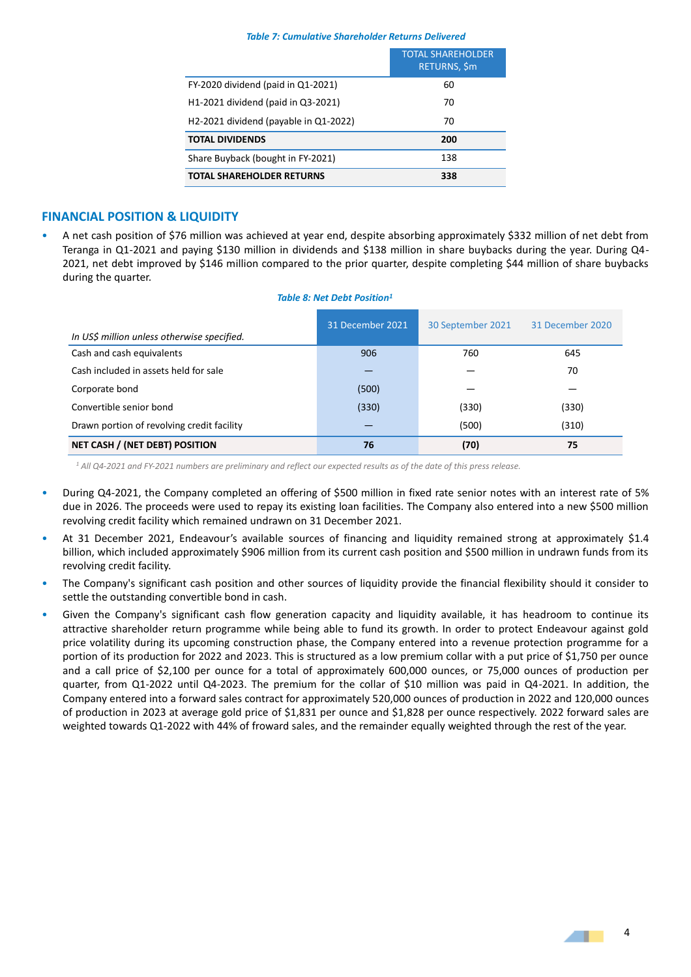#### *Table 7: Cumulative Shareholder Returns Delivered*

|                                         | <b>TOTAL SHAREHOLDER</b><br><b>RETURNS, \$m</b> |
|-----------------------------------------|-------------------------------------------------|
| FY-2020 dividend (paid in Q1-2021)      | 60                                              |
| H1-2021 dividend (paid in Q3-2021)      | 70                                              |
| $H2-2021$ dividend (payable in Q1-2022) | 70                                              |
| <b>TOTAL DIVIDENDS</b>                  | 200                                             |
| Share Buyback (bought in FY-2021)       | 138                                             |
| <b>TOTAL SHAREHOLDER RETURNS</b>        | 338                                             |

## **FINANCIAL POSITION & LIQUIDITY**

• A net cash position of \$76 million was achieved at year end, despite absorbing approximately \$332 million of net debt from Teranga in Q1-2021 and paying \$130 million in dividends and \$138 million in share buybacks during the year. During Q4- 2021, net debt improved by \$146 million compared to the prior quarter, despite completing \$44 million of share buybacks during the quarter.

#### *Table 8: Net Debt Position<sup>1</sup>*

| In US\$ million unless otherwise specified. | 31 December 2021 | 30 September 2021 | 31 December 2020 |
|---------------------------------------------|------------------|-------------------|------------------|
| Cash and cash equivalents                   | 906              | 760               | 645              |
| Cash included in assets held for sale       |                  |                   | 70               |
| Corporate bond                              | (500)            |                   |                  |
| Convertible senior bond                     | (330)            | (330)             | (330)            |
| Drawn portion of revolving credit facility  |                  | (500)             | (310)            |
| NET CASH / (NET DEBT) POSITION              | 76               | (70)              | 75               |

*<sup>1</sup> All Q4-2021 and FY-2021 numbers are preliminary and reflect our expected results as of the date of this press release.*

- During Q4-2021, the Company completed an offering of \$500 million in fixed rate senior notes with an interest rate of 5% due in 2026. The proceeds were used to repay its existing loan facilities. The Company also entered into a new \$500 million revolving credit facility which remained undrawn on 31 December 2021.
- At 31 December 2021, Endeavour's available sources of financing and liquidity remained strong at approximately \$1.4 billion, which included approximately \$906 million from its current cash position and \$500 million in undrawn funds from its revolving credit facility.
- The Company's significant cash position and other sources of liquidity provide the financial flexibility should it consider to settle the outstanding convertible bond in cash.
- Given the Company's significant cash flow generation capacity and liquidity available, it has headroom to continue its attractive shareholder return programme while being able to fund its growth. In order to protect Endeavour against gold price volatility during its upcoming construction phase, the Company entered into a revenue protection programme for a portion of its production for 2022 and 2023. This is structured as a low premium collar with a put price of \$1,750 per ounce and a call price of \$2,100 per ounce for a total of approximately 600,000 ounces, or 75,000 ounces of production per quarter, from Q1-2022 until Q4-2023. The premium for the collar of \$10 million was paid in Q4-2021. In addition, the Company entered into a forward sales contract for approximately 520,000 ounces of production in 2022 and 120,000 ounces of production in 2023 at average gold price of \$1,831 per ounce and \$1,828 per ounce respectively. 2022 forward sales are weighted towards Q1-2022 with 44% of froward sales, and the remainder equally weighted through the rest of the year.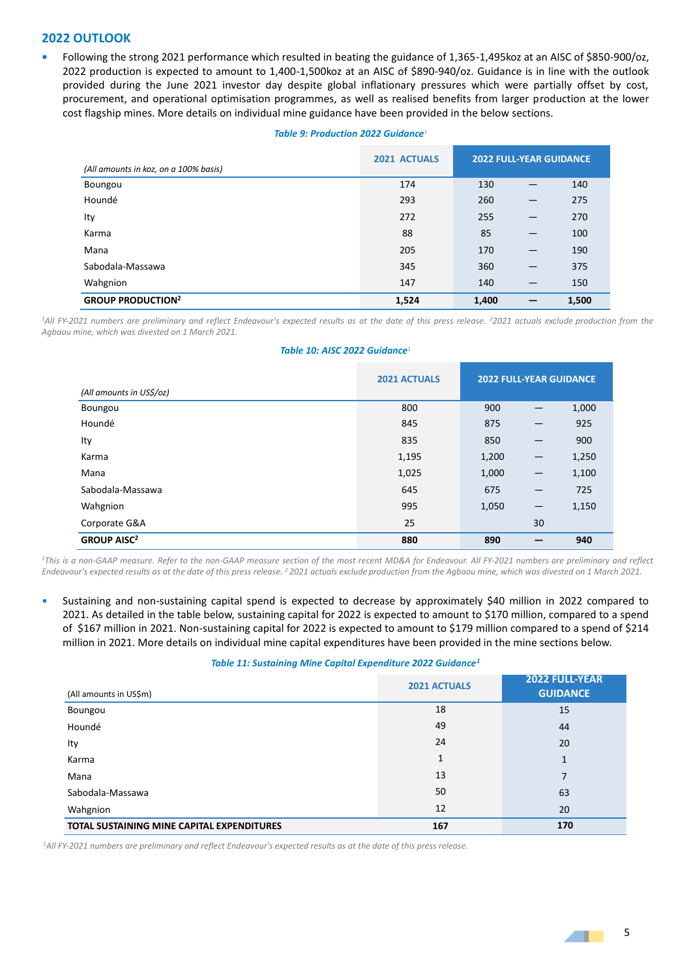## **2022 OUTLOOK**

**•** Following the strong 2021 performance which resulted in beating the guidance of 1,365-1,495koz at an AISC of \$850-900/oz, 2022 production is expected to amount to 1,400-1,500koz at an AISC of \$890-940/oz. Guidance is in line with the outlook provided during the June 2021 investor day despite global inflationary pressures which were partially offset by cost, procurement, and operational optimisation programmes, as well as realised benefits from larger production at the lower cost flagship mines. More details on individual mine guidance have been provided in the below sections.

#### *Table 9: Production 2022 Guidance<sup>1</sup>*

| (All amounts in koz, on a 100% basis) | 2021 ACTUALS | <b>2022 FULL-YEAR GUIDANCE</b> |                          |       |
|---------------------------------------|--------------|--------------------------------|--------------------------|-------|
| Boungou                               | 174          | 130                            |                          | 140   |
| Houndé                                | 293          | 260                            | —                        | 275   |
| Ity                                   | 272          | 255                            | $\overline{\phantom{0}}$ | 270   |
| Karma                                 | 88           | 85                             | $\qquad \qquad$          | 100   |
| Mana                                  | 205          | 170                            | $\qquad \qquad$          | 190   |
| Sabodala-Massawa                      | 345          | 360                            | $\overline{\phantom{0}}$ | 375   |
| Wahgnion                              | 147          | 140                            |                          | 150   |
| <b>GROUP PRODUCTION<sup>2</sup></b>   | 1,524        | 1,400                          |                          | 1,500 |

*<sup>1</sup>All FY-2021 numbers are preliminary and reflect Endeavour's expected results as at the date of this press release. <sup>2</sup>2021 actuals exclude production from the Agbaou mine, which was divested on 1 March 2021.*

#### *Table 10: AISC 2022 Guidance<sup>1</sup>*

|                               | <b>2021 ACTUALS</b> | <b>2022 FULL-YEAR GUIDANCE</b> |                          |       |
|-------------------------------|---------------------|--------------------------------|--------------------------|-------|
| (All amounts in US\$/oz)      |                     |                                |                          |       |
| Boungou                       | 800                 | 900                            |                          | 1,000 |
| Houndé                        | 845                 | 875                            | $\overline{\phantom{0}}$ | 925   |
| Ity                           | 835                 | 850                            |                          | 900   |
| Karma                         | 1,195               | 1,200                          | $\qquad \qquad -$        | 1,250 |
| Mana                          | 1,025               | 1,000                          | $\qquad \qquad -$        | 1,100 |
| Sabodala-Massawa              | 645                 | 675                            | $\overline{\phantom{0}}$ | 725   |
| Wahgnion                      | 995                 | 1,050                          | $\overline{\phantom{m}}$ | 1,150 |
| Corporate G&A                 | 25                  |                                | 30                       |       |
| <b>GROUP AISC<sup>2</sup></b> | 880                 | 890                            |                          | 940   |

*<sup>1</sup>This is a non-GAAP measure. Refer to the non-GAAP measure section of the most recent MD&A for Endeavour. All FY-2021 numbers are preliminary and reflect Endeavour's expected results as at the date of this press release. <sup>2</sup>2021 actuals exclude production from the Agbaou mine, which was divested on 1 March 2021.*

• Sustaining and non-sustaining capital spend is expected to decrease by approximately \$40 million in 2022 compared to 2021. As detailed in the table below, sustaining capital for 2022 is expected to amount to \$170 million, compared to a spend of \$167 million in 2021. Non-sustaining capital for 2022 is expected to amount to \$179 million compared to a spend of \$214 million in 2021. More details on individual mine capital expenditures have been provided in the mine sections below.

#### *Table 11: Sustaining Mine Capital Expenditure 2022 Guidance<sup>1</sup>*

| (All amounts in US\$m)                     | <b>2021 ACTUALS</b> | 2022 FULL-YEAR<br><b>GUIDANCE</b> |
|--------------------------------------------|---------------------|-----------------------------------|
| Boungou                                    | 18                  | 15                                |
| Houndé                                     | 49                  | 44                                |
| Ity                                        | 24                  | 20                                |
| Karma                                      | 1                   | $\mathbf{1}$                      |
| Mana                                       | 13                  | 7                                 |
| Sabodala-Massawa                           | 50                  | 63                                |
| Wahgnion                                   | 12                  | 20                                |
| TOTAL SUSTAINING MINE CAPITAL EXPENDITURES | 167                 | 170                               |

*<sup>1</sup>All FY-2021 numbers are preliminary and reflect Endeavour's expected results as at the date of this press release.*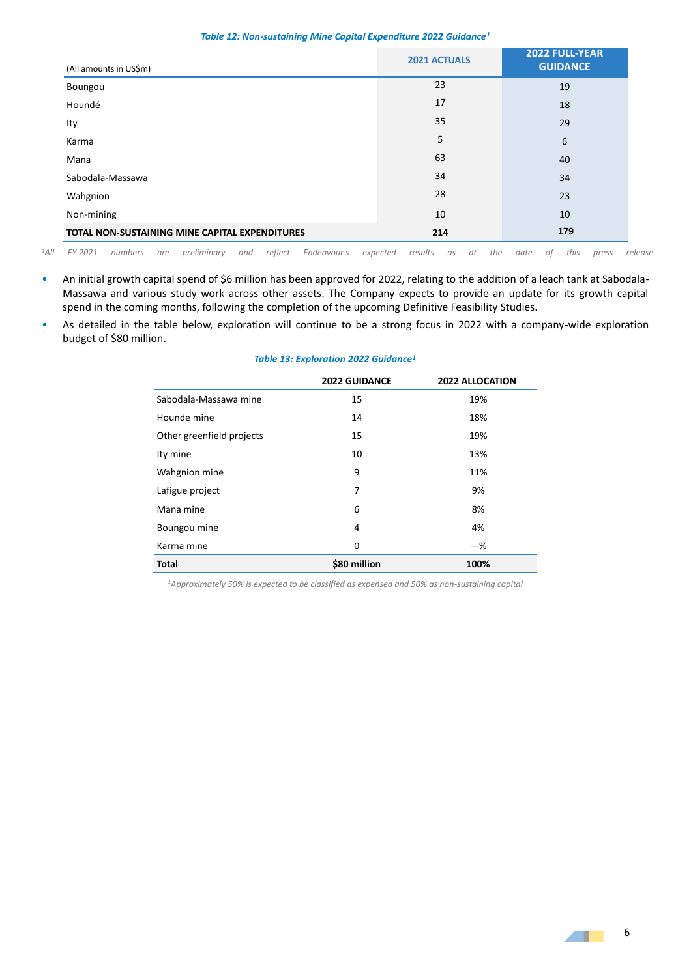#### *Table 12: Non-sustaining Mine Capital Expenditure 2022 Guidance<sup>1</sup>*

| (All amounts in US\$m)                         | <b>2021 ACTUALS</b> | 2022 FULL-YEAR<br><b>GUIDANCE</b> |
|------------------------------------------------|---------------------|-----------------------------------|
| Boungou                                        | 23                  | 19                                |
| Houndé                                         | 17                  | 18                                |
| Ity                                            | 35                  | 29                                |
| Karma                                          | 5                   | 6                                 |
| Mana                                           | 63                  | 40                                |
| Sabodala-Massawa                               | 34                  | 34                                |
| Wahgnion                                       | 28                  | 23                                |
| Non-mining                                     | 10                  | 10                                |
| TOTAL NON-SUSTAINING MINE CAPITAL EXPENDITURES | 214                 | 179                               |

*<sup>1</sup>All FY-2021 numbers are preliminary and reflect Endeavour's expected results as at the date of this press release* 

- An initial growth capital spend of \$6 million has been approved for 2022, relating to the addition of a leach tank at Sabodala-Massawa and various study work across other assets. The Company expects to provide an update for its growth capital spend in the coming months, following the completion of the upcoming Definitive Feasibility Studies.
- As detailed in the table below, exploration will continue to be a strong focus in 2022 with a company-wide exploration budget of \$80 million.

|                           | <b>2022 GUIDANCE</b> | <b>2022 ALLOCATION</b> |
|---------------------------|----------------------|------------------------|
| Sabodala-Massawa mine     | 15                   | 19%                    |
| Hounde mine               | 14                   | 18%                    |
| Other greenfield projects | 15                   | 19%                    |
| Ity mine                  | 10                   | 13%                    |
| Wahgnion mine             | 9                    | 11%                    |
| Lafigue project           | 7                    | 9%                     |
| Mana mine                 | 6                    | 8%                     |
| Boungou mine              | 4                    | 4%                     |
| Karma mine                | 0                    | $-\%$                  |
| <b>Total</b>              | \$80 million         | 100%                   |

#### *Table 13: Exploration 2022 Guidance<sup>1</sup>*

*1Approximately 50% is expected to be classified as expensed and 50% as non-sustaining capital* 

 $\blacksquare$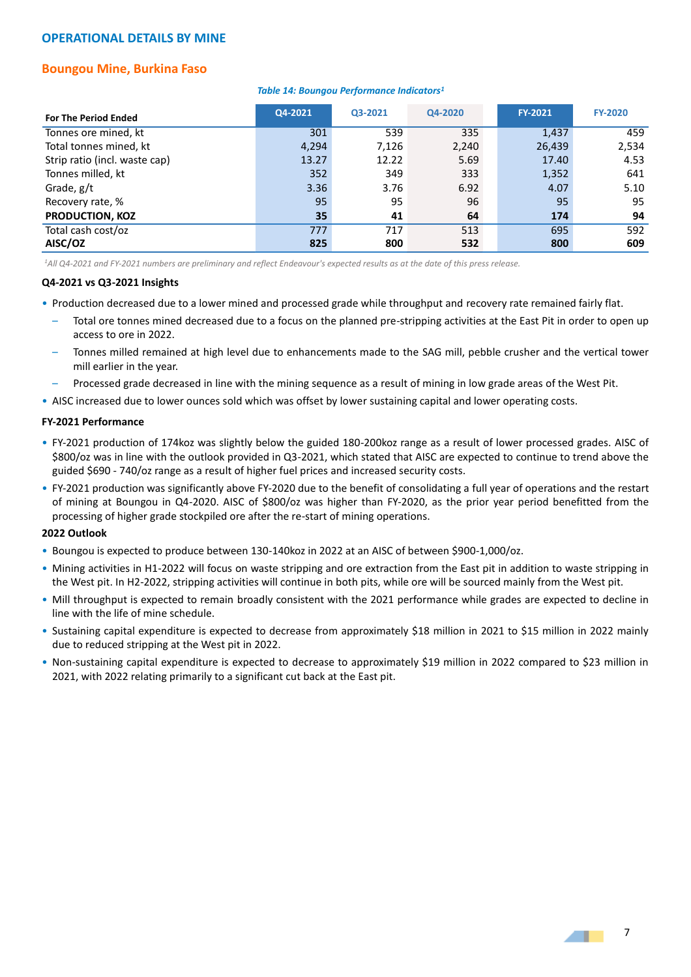## **OPERATIONAL DETAILS BY MINE**

# **Boungou Mine, Burkina Faso**

#### *Table 14: Boungou Performance Indicators<sup>1</sup>*

| <b>For The Period Ended</b>   | Q4-2021 | Q3-2021 | Q4-2020 | <b>FY-2021</b> | <b>FY-2020</b> |
|-------------------------------|---------|---------|---------|----------------|----------------|
| Tonnes ore mined, kt          | 301     | 539     | 335     | 1,437          | 459            |
| Total tonnes mined, kt        | 4,294   | 7,126   | 2,240   | 26,439         | 2,534          |
| Strip ratio (incl. waste cap) | 13.27   | 12.22   | 5.69    | 17.40          | 4.53           |
| Tonnes milled, kt             | 352     | 349     | 333     | 1,352          | 641            |
| Grade, g/t                    | 3.36    | 3.76    | 6.92    | 4.07           | 5.10           |
| Recovery rate, %              | 95      | 95      | 96      | 95             | 95             |
| <b>PRODUCTION, KOZ</b>        | 35      | 41      | 64      | 174            | 94             |
| Total cash cost/oz            | 777     | 717     | 513     | 695            | 592            |
| AISC/OZ                       | 825     | 800     | 532     | 800            | 609            |

*<sup>1</sup>All Q4-2021 and FY-2021 numbers are preliminary and reflect Endeavour's expected results as at the date of this press release.*

#### **Q4-2021 vs Q3-2021 Insights**

- Production decreased due to a lower mined and processed grade while throughput and recovery rate remained fairly flat.
	- Total ore tonnes mined decreased due to a focus on the planned pre-stripping activities at the East Pit in order to open up access to ore in 2022.
	- Tonnes milled remained at high level due to enhancements made to the SAG mill, pebble crusher and the vertical tower mill earlier in the year.
	- Processed grade decreased in line with the mining sequence as a result of mining in low grade areas of the West Pit.
- AISC increased due to lower ounces sold which was offset by lower sustaining capital and lower operating costs.

#### **FY-2021 Performance**

- FY-2021 production of 174koz was slightly below the guided 180-200koz range as a result of lower processed grades. AISC of \$800/oz was in line with the outlook provided in Q3-2021, which stated that AISC are expected to continue to trend above the guided \$690 - 740/oz range as a result of higher fuel prices and increased security costs.
- FY-2021 production was significantly above FY-2020 due to the benefit of consolidating a full year of operations and the restart of mining at Boungou in Q4-2020. AISC of \$800/oz was higher than FY-2020, as the prior year period benefitted from the processing of higher grade stockpiled ore after the re-start of mining operations.

## **2022 Outlook**

- Boungou is expected to produce between 130-140koz in 2022 at an AISC of between \$900-1,000/oz.
- Mining activities in H1-2022 will focus on waste stripping and ore extraction from the East pit in addition to waste stripping in the West pit. In H2-2022, stripping activities will continue in both pits, while ore will be sourced mainly from the West pit.
- Mill throughput is expected to remain broadly consistent with the 2021 performance while grades are expected to decline in line with the life of mine schedule.
- Sustaining capital expenditure is expected to decrease from approximately \$18 million in 2021 to \$15 million in 2022 mainly due to reduced stripping at the West pit in 2022.
- Non-sustaining capital expenditure is expected to decrease to approximately \$19 million in 2022 compared to \$23 million in 2021, with 2022 relating primarily to a significant cut back at the East pit.

**ALL**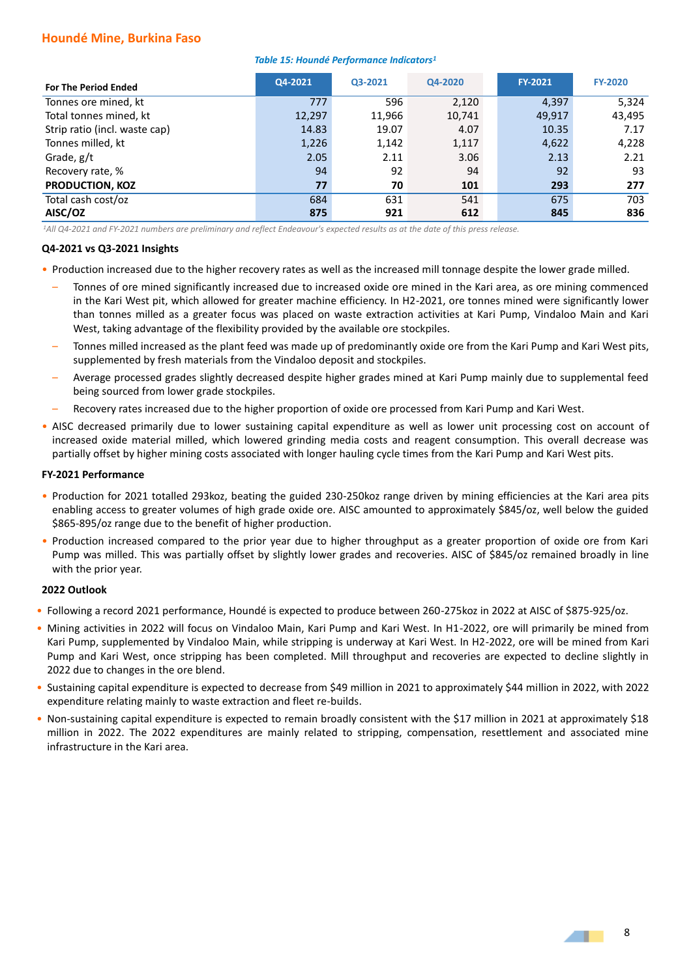## **Houndé Mine, Burkina Faso**

#### *Table 15: Houndé Performance Indicators<sup>1</sup>*

| <b>For The Period Ended</b>   | Q4-2021 | Q3-2021 | Q4-2020 | <b>FY-2021</b> | <b>FY-2020</b> |
|-------------------------------|---------|---------|---------|----------------|----------------|
| Tonnes ore mined, kt          | 777     | 596     | 2,120   | 4,397          | 5,324          |
| Total tonnes mined, kt        | 12,297  | 11,966  | 10,741  | 49,917         | 43,495         |
| Strip ratio (incl. waste cap) | 14.83   | 19.07   | 4.07    | 10.35          | 7.17           |
| Tonnes milled, kt             | 1,226   | 1,142   | 1,117   | 4,622          | 4,228          |
| Grade, g/t                    | 2.05    | 2.11    | 3.06    | 2.13           | 2.21           |
| Recovery rate, %              | 94      | 92      | 94      | 92             | 93             |
| <b>PRODUCTION, KOZ</b>        | 77      | 70      | 101     | 293            | 277            |
| Total cash cost/oz            | 684     | 631     | 541     | 675            | 703            |
| AISC/OZ                       | 875     | 921     | 612     | 845            | 836            |

*<sup>1</sup>All Q4-2021 and FY-2021 numbers are preliminary and reflect Endeavour's expected results as at the date of this press release.*

#### **Q4-2021 vs Q3-2021 Insights**

- Production increased due to the higher recovery rates as well as the increased mill tonnage despite the lower grade milled.
	- Tonnes of ore mined significantly increased due to increased oxide ore mined in the Kari area, as ore mining commenced in the Kari West pit, which allowed for greater machine efficiency. In H2-2021, ore tonnes mined were significantly lower than tonnes milled as a greater focus was placed on waste extraction activities at Kari Pump, Vindaloo Main and Kari West, taking advantage of the flexibility provided by the available ore stockpiles.
	- Tonnes milled increased as the plant feed was made up of predominantly oxide ore from the Kari Pump and Kari West pits, supplemented by fresh materials from the Vindaloo deposit and stockpiles.
	- Average processed grades slightly decreased despite higher grades mined at Kari Pump mainly due to supplemental feed being sourced from lower grade stockpiles.
	- Recovery rates increased due to the higher proportion of oxide ore processed from Kari Pump and Kari West.
- AISC decreased primarily due to lower sustaining capital expenditure as well as lower unit processing cost on account of increased oxide material milled, which lowered grinding media costs and reagent consumption. This overall decrease was partially offset by higher mining costs associated with longer hauling cycle times from the Kari Pump and Kari West pits.

#### **FY-2021 Performance**

- Production for 2021 totalled 293koz, beating the guided 230-250koz range driven by mining efficiencies at the Kari area pits enabling access to greater volumes of high grade oxide ore. AISC amounted to approximately \$845/oz, well below the guided \$865-895/oz range due to the benefit of higher production.
- Production increased compared to the prior year due to higher throughput as a greater proportion of oxide ore from Kari Pump was milled. This was partially offset by slightly lower grades and recoveries. AISC of \$845/oz remained broadly in line with the prior year.

#### **2022 Outlook**

- Following a record 2021 performance, Houndé is expected to produce between 260-275koz in 2022 at AISC of \$875-925/oz.
- Mining activities in 2022 will focus on Vindaloo Main, Kari Pump and Kari West. In H1-2022, ore will primarily be mined from Kari Pump, supplemented by Vindaloo Main, while stripping is underway at Kari West. In H2-2022, ore will be mined from Kari Pump and Kari West, once stripping has been completed. Mill throughput and recoveries are expected to decline slightly in 2022 due to changes in the ore blend.
- Sustaining capital expenditure is expected to decrease from \$49 million in 2021 to approximately \$44 million in 2022, with 2022 expenditure relating mainly to waste extraction and fleet re-builds.
- Non-sustaining capital expenditure is expected to remain broadly consistent with the \$17 million in 2021 at approximately \$18 million in 2022. The 2022 expenditures are mainly related to stripping, compensation, resettlement and associated mine infrastructure in the Kari area.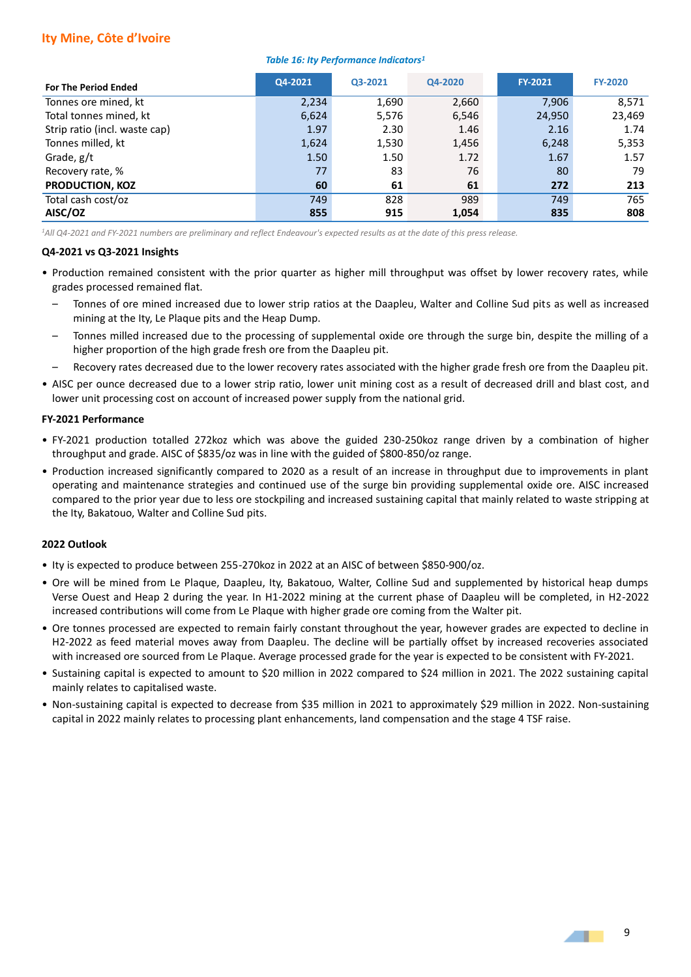# **Ity Mine, Côte d'Ivoire**

#### *Table 16: Ity Performance Indicators<sup>1</sup>*

| <b>For The Period Ended</b>   | Q4-2021 | Q3-2021 | Q4-2020 | <b>FY-2021</b> | <b>FY-2020</b> |
|-------------------------------|---------|---------|---------|----------------|----------------|
| Tonnes ore mined, kt          | 2,234   | 1,690   | 2,660   | 7,906          | 8,571          |
| Total tonnes mined, kt        | 6,624   | 5,576   | 6,546   | 24,950         | 23,469         |
| Strip ratio (incl. waste cap) | 1.97    | 2.30    | 1.46    | 2.16           | 1.74           |
| Tonnes milled, kt             | 1,624   | 1,530   | 1,456   | 6,248          | 5,353          |
| Grade, g/t                    | 1.50    | 1.50    | 1.72    | 1.67           | 1.57           |
| Recovery rate, %              | 77      | 83      | 76      | 80             | 79             |
| <b>PRODUCTION, KOZ</b>        | 60      | 61      | 61      | 272            | 213            |
| Total cash cost/oz            | 749     | 828     | 989     | 749            | 765            |
| AISC/OZ                       | 855     | 915     | 1,054   | 835            | 808            |

*<sup>1</sup>All Q4-2021 and FY-2021 numbers are preliminary and reflect Endeavour's expected results as at the date of this press release.*

#### **Q4-2021 vs Q3-2021 Insights**

- Production remained consistent with the prior quarter as higher mill throughput was offset by lower recovery rates, while grades processed remained flat.
	- Tonnes of ore mined increased due to lower strip ratios at the Daapleu, Walter and Colline Sud pits as well as increased mining at the Ity, Le Plaque pits and the Heap Dump.
	- Tonnes milled increased due to the processing of supplemental oxide ore through the surge bin, despite the milling of a higher proportion of the high grade fresh ore from the Daapleu pit.
	- Recovery rates decreased due to the lower recovery rates associated with the higher grade fresh ore from the Daapleu pit.
- AISC per ounce decreased due to a lower strip ratio, lower unit mining cost as a result of decreased drill and blast cost, and lower unit processing cost on account of increased power supply from the national grid.

#### **FY-2021 Performance**

- FY-2021 production totalled 272koz which was above the guided 230-250koz range driven by a combination of higher throughput and grade. AISC of \$835/oz was in line with the guided of \$800-850/oz range.
- Production increased significantly compared to 2020 as a result of an increase in throughput due to improvements in plant operating and maintenance strategies and continued use of the surge bin providing supplemental oxide ore. AISC increased compared to the prior year due to less ore stockpiling and increased sustaining capital that mainly related to waste stripping at the Ity, Bakatouo, Walter and Colline Sud pits.

#### **2022 Outlook**

- Ity is expected to produce between 255-270koz in 2022 at an AISC of between \$850-900/oz.
- Ore will be mined from Le Plaque, Daapleu, Ity, Bakatouo, Walter, Colline Sud and supplemented by historical heap dumps Verse Ouest and Heap 2 during the year. In H1-2022 mining at the current phase of Daapleu will be completed, in H2-2022 increased contributions will come from Le Plaque with higher grade ore coming from the Walter pit.
- Ore tonnes processed are expected to remain fairly constant throughout the year, however grades are expected to decline in H2-2022 as feed material moves away from Daapleu. The decline will be partially offset by increased recoveries associated with increased ore sourced from Le Plaque. Average processed grade for the year is expected to be consistent with FY-2021.
- Sustaining capital is expected to amount to \$20 million in 2022 compared to \$24 million in 2021. The 2022 sustaining capital mainly relates to capitalised waste.
- Non-sustaining capital is expected to decrease from \$35 million in 2021 to approximately \$29 million in 2022. Non-sustaining capital in 2022 mainly relates to processing plant enhancements, land compensation and the stage 4 TSF raise.

**ALL**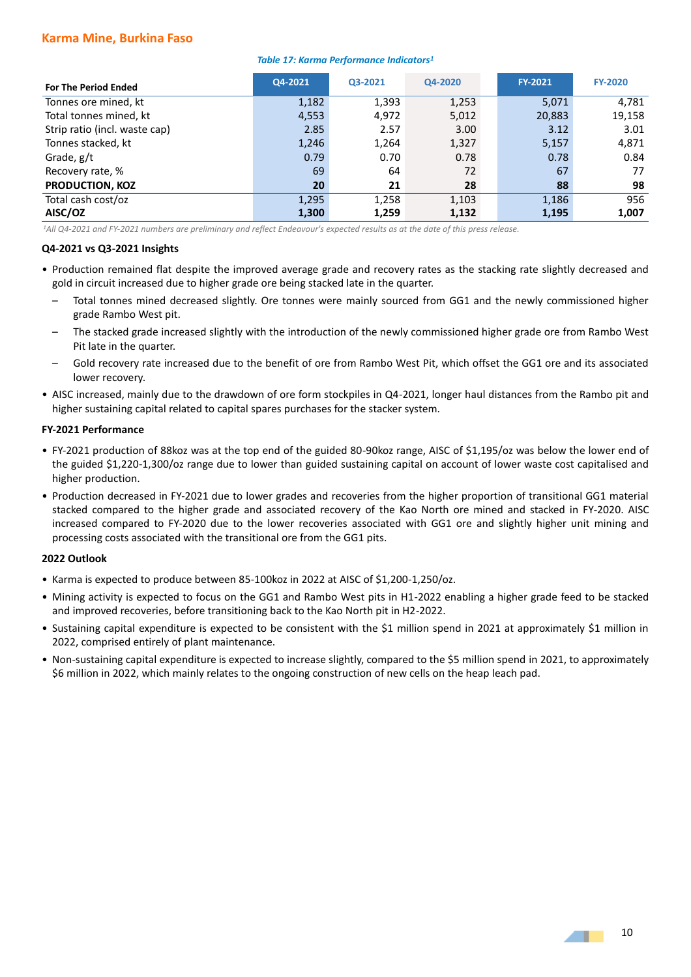## **Karma Mine, Burkina Faso**

#### *Table 17: Karma Performance Indicators<sup>1</sup>*

| <b>For The Period Ended</b>   | Q4-2021 | Q3-2021 | Q4-2020 | <b>FY-2021</b> | <b>FY-2020</b> |
|-------------------------------|---------|---------|---------|----------------|----------------|
| Tonnes ore mined, kt          | 1,182   | 1,393   | 1,253   | 5,071          | 4,781          |
| Total tonnes mined, kt        | 4,553   | 4,972   | 5,012   | 20,883         | 19,158         |
| Strip ratio (incl. waste cap) | 2.85    | 2.57    | 3.00    | 3.12           | 3.01           |
| Tonnes stacked, kt            | 1,246   | 1,264   | 1,327   | 5,157          | 4,871          |
| Grade, g/t                    | 0.79    | 0.70    | 0.78    | 0.78           | 0.84           |
| Recovery rate, %              | 69      | 64      | 72      | 67             | 77             |
| <b>PRODUCTION, KOZ</b>        | 20      | 21      | 28      | 88             | 98             |
| Total cash cost/oz            | 1,295   | 1,258   | 1,103   | 1,186          | 956            |
| AISC/OZ                       | 1,300   | 1,259   | 1,132   | 1,195          | 1,007          |

*<sup>1</sup>All Q4-2021 and FY-2021 numbers are preliminary and reflect Endeavour's expected results as at the date of this press release.*

#### **Q4-2021 vs Q3-2021 Insights**

- Production remained flat despite the improved average grade and recovery rates as the stacking rate slightly decreased and gold in circuit increased due to higher grade ore being stacked late in the quarter.
	- Total tonnes mined decreased slightly. Ore tonnes were mainly sourced from GG1 and the newly commissioned higher grade Rambo West pit.
	- The stacked grade increased slightly with the introduction of the newly commissioned higher grade ore from Rambo West Pit late in the quarter.
	- Gold recovery rate increased due to the benefit of ore from Rambo West Pit, which offset the GG1 ore and its associated lower recovery.
- AISC increased, mainly due to the drawdown of ore form stockpiles in Q4-2021, longer haul distances from the Rambo pit and higher sustaining capital related to capital spares purchases for the stacker system.

#### **FY-2021 Performance**

- FY-2021 production of 88koz was at the top end of the guided 80-90koz range, AISC of \$1,195/oz was below the lower end of the guided \$1,220-1,300/oz range due to lower than guided sustaining capital on account of lower waste cost capitalised and higher production.
- Production decreased in FY-2021 due to lower grades and recoveries from the higher proportion of transitional GG1 material stacked compared to the higher grade and associated recovery of the Kao North ore mined and stacked in FY-2020. AISC increased compared to FY-2020 due to the lower recoveries associated with GG1 ore and slightly higher unit mining and processing costs associated with the transitional ore from the GG1 pits.

## **2022 Outlook**

- Karma is expected to produce between 85-100koz in 2022 at AISC of \$1,200-1,250/oz.
- Mining activity is expected to focus on the GG1 and Rambo West pits in H1-2022 enabling a higher grade feed to be stacked and improved recoveries, before transitioning back to the Kao North pit in H2-2022.
- Sustaining capital expenditure is expected to be consistent with the \$1 million spend in 2021 at approximately \$1 million in 2022, comprised entirely of plant maintenance.
- Non-sustaining capital expenditure is expected to increase slightly, compared to the \$5 million spend in 2021, to approximately \$6 million in 2022, which mainly relates to the ongoing construction of new cells on the heap leach pad.

- 1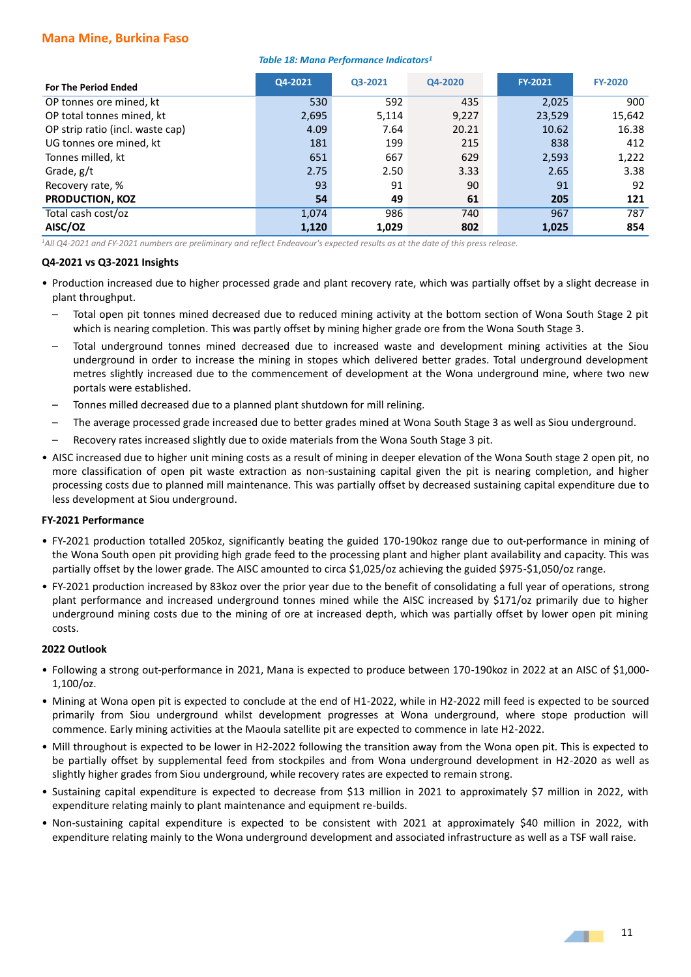## **Mana Mine, Burkina Faso**

#### *Table 18: Mana Performance Indicators<sup>1</sup>*

| <b>For The Period Ended</b>      | Q4-2021              | Q3-2021    | Q4-2020 | <b>FY-2021</b> | <b>FY-2020</b> |
|----------------------------------|----------------------|------------|---------|----------------|----------------|
| OP tonnes ore mined, kt          | 530                  | 592        | 435     | 2,025          | 900            |
| OP total tonnes mined, kt        | 2,695                | 5,114      | 9,227   | 23,529         | 15,642         |
| OP strip ratio (incl. waste cap) | 4.09                 | 7.64       | 20.21   | 10.62          | 16.38          |
| UG tonnes ore mined, kt          | 181                  | 199<br>215 |         | 838            | 412            |
| Tonnes milled, kt                | 651                  | 667<br>629 |         | 2,593          | 1,222          |
| Grade, $g/t$                     | 2.50<br>3.33<br>2.75 |            |         | 2.65           | 3.38           |
| Recovery rate, %                 | 93                   | 91         | 90      | 91             | 92             |
| <b>PRODUCTION, KOZ</b>           | 54                   | 49         | 61      | 205            | 121            |
| Total cash cost/oz               | 1,074                | 986        | 740     | 967            | 787            |
| AISC/OZ                          | 1,120                | 1,029      | 802     | 1,025          | 854            |

*<sup>1</sup>All Q4-2021 and FY-2021 numbers are preliminary and reflect Endeavour's expected results as at the date of this press release.*

#### **Q4-2021 vs Q3-2021 Insights**

- Production increased due to higher processed grade and plant recovery rate, which was partially offset by a slight decrease in plant throughput.
	- Total open pit tonnes mined decreased due to reduced mining activity at the bottom section of Wona South Stage 2 pit which is nearing completion. This was partly offset by mining higher grade ore from the Wona South Stage 3.
	- Total underground tonnes mined decreased due to increased waste and development mining activities at the Siou underground in order to increase the mining in stopes which delivered better grades. Total underground development metres slightly increased due to the commencement of development at the Wona underground mine, where two new portals were established.
	- Tonnes milled decreased due to a planned plant shutdown for mill relining.
	- The average processed grade increased due to better grades mined at Wona South Stage 3 as well as Siou underground.
	- Recovery rates increased slightly due to oxide materials from the Wona South Stage 3 pit.
- AISC increased due to higher unit mining costs as a result of mining in deeper elevation of the Wona South stage 2 open pit, no more classification of open pit waste extraction as non-sustaining capital given the pit is nearing completion, and higher processing costs due to planned mill maintenance. This was partially offset by decreased sustaining capital expenditure due to less development at Siou underground.

## **FY-2021 Performance**

- FY-2021 production totalled 205koz, significantly beating the guided 170-190koz range due to out-performance in mining of the Wona South open pit providing high grade feed to the processing plant and higher plant availability and capacity. This was partially offset by the lower grade. The AISC amounted to circa \$1,025/oz achieving the guided \$975-\$1,050/oz range.
- FY-2021 production increased by 83koz over the prior year due to the benefit of consolidating a full year of operations, strong plant performance and increased underground tonnes mined while the AISC increased by \$171/oz primarily due to higher underground mining costs due to the mining of ore at increased depth, which was partially offset by lower open pit mining costs.

#### **2022 Outlook**

- Following a strong out-performance in 2021, Mana is expected to produce between 170-190koz in 2022 at an AISC of \$1,000- 1,100/oz.
- Mining at Wona open pit is expected to conclude at the end of H1-2022, while in H2-2022 mill feed is expected to be sourced primarily from Siou underground whilst development progresses at Wona underground, where stope production will commence. Early mining activities at the Maoula satellite pit are expected to commence in late H2-2022.
- Mill throughout is expected to be lower in H2-2022 following the transition away from the Wona open pit. This is expected to be partially offset by supplemental feed from stockpiles and from Wona underground development in H2-2020 as well as slightly higher grades from Siou underground, while recovery rates are expected to remain strong.
- Sustaining capital expenditure is expected to decrease from \$13 million in 2021 to approximately \$7 million in 2022, with expenditure relating mainly to plant maintenance and equipment re-builds.
- Non-sustaining capital expenditure is expected to be consistent with 2021 at approximately \$40 million in 2022, with expenditure relating mainly to the Wona underground development and associated infrastructure as well as a TSF wall raise.

- 1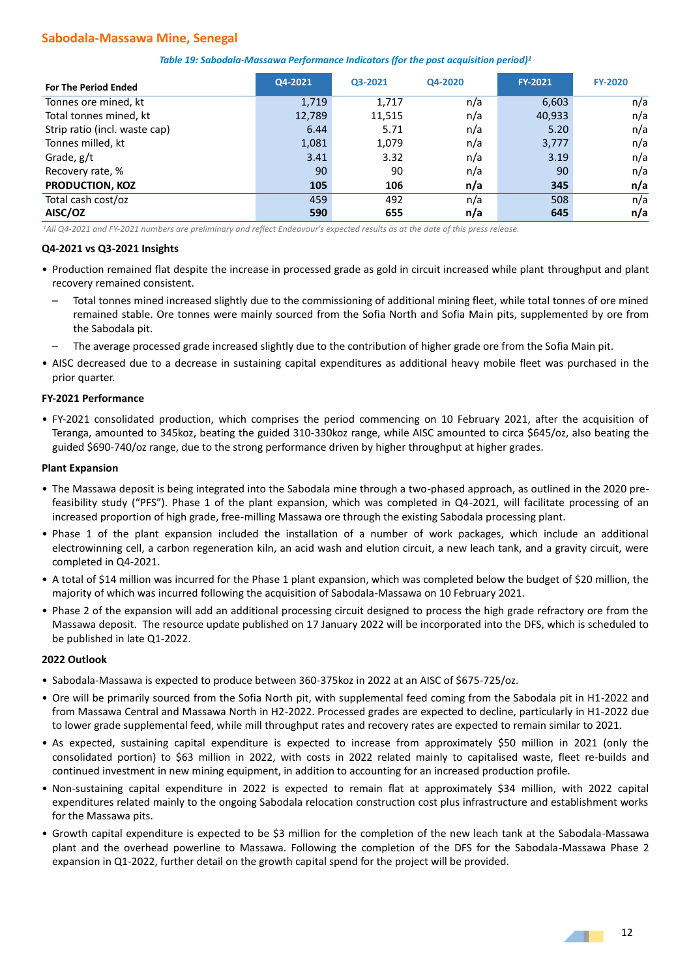# **Sabodala-Massawa Mine, Senegal**

| <b>For The Period Ended</b>   | Q4-2021 | Q3-2021 | Q4-2020 | <b>FY-2021</b> | <b>FY-2020</b> |
|-------------------------------|---------|---------|---------|----------------|----------------|
| Tonnes ore mined, kt          | 1,719   | 1,717   | n/a     | 6,603          | n/a            |
| Total tonnes mined, kt        | 12,789  | 11,515  | n/a     | 40,933         | n/a            |
| Strip ratio (incl. waste cap) | 6.44    | 5.71    | n/a     | 5.20           | n/a            |
| Tonnes milled, kt             | 1,081   | 1,079   | n/a     | 3,777          | n/a            |
| Grade, g/t                    | 3.41    | 3.32    | n/a     | 3.19           | n/a            |
| Recovery rate, %              | 90      | 90      | n/a     | 90             | n/a            |
| <b>PRODUCTION, KOZ</b>        | 105     | 106     | n/a     | 345            | n/a            |
| Total cash cost/oz            | 459     | 492     | n/a     | 508            | n/a            |
| AISC/OZ                       | 590     | 655     | n/a     | 645            | n/a            |

*<sup>1</sup>All Q4-2021 and FY-2021 numbers are preliminary and reflect Endeavour's expected results as at the date of this press release.*

#### **Q4-2021 vs Q3-2021 Insights**

- Production remained flat despite the increase in processed grade as gold in circuit increased while plant throughput and plant recovery remained consistent.
	- Total tonnes mined increased slightly due to the commissioning of additional mining fleet, while total tonnes of ore mined remained stable. Ore tonnes were mainly sourced from the Sofia North and Sofia Main pits, supplemented by ore from the Sabodala pit.
	- The average processed grade increased slightly due to the contribution of higher grade ore from the Sofia Main pit.
- AISC decreased due to a decrease in sustaining capital expenditures as additional heavy mobile fleet was purchased in the prior quarter.

#### **FY-2021 Performance**

• FY-2021 consolidated production, which comprises the period commencing on 10 February 2021, after the acquisition of Teranga, amounted to 345koz, beating the guided 310-330koz range, while AISC amounted to circa \$645/oz, also beating the guided \$690-740/oz range, due to the strong performance driven by higher throughput at higher grades.

#### **Plant Expansion**

- The Massawa deposit is being integrated into the Sabodala mine through a two-phased approach, as outlined in the 2020 prefeasibility study ("PFS"). Phase 1 of the plant expansion, which was completed in Q4-2021, will facilitate processing of an increased proportion of high grade, free-milling Massawa ore through the existing Sabodala processing plant.
- Phase 1 of the plant expansion included the installation of a number of work packages, which include an additional electrowinning cell, a carbon regeneration kiln, an acid wash and elution circuit, a new leach tank, and a gravity circuit, were completed in Q4-2021.
- A total of \$14 million was incurred for the Phase 1 plant expansion, which was completed below the budget of \$20 million, the majority of which was incurred following the acquisition of Sabodala-Massawa on 10 February 2021.
- Phase 2 of the expansion will add an additional processing circuit designed to process the high grade refractory ore from the Massawa deposit. The resource update published on 17 January 2022 will be incorporated into the DFS, which is scheduled to be published in late Q1-2022.

#### **2022 Outlook**

- Sabodala-Massawa is expected to produce between 360-375koz in 2022 at an AISC of \$675-725/oz.
- Ore will be primarily sourced from the Sofia North pit, with supplemental feed coming from the Sabodala pit in H1-2022 and from Massawa Central and Massawa North in H2-2022. Processed grades are expected to decline, particularly in H1-2022 due to lower grade supplemental feed, while mill throughput rates and recovery rates are expected to remain similar to 2021.
- As expected, sustaining capital expenditure is expected to increase from approximately \$50 million in 2021 (only the consolidated portion) to \$63 million in 2022, with costs in 2022 related mainly to capitalised waste, fleet re-builds and continued investment in new mining equipment, in addition to accounting for an increased production profile.
- Non-sustaining capital expenditure in 2022 is expected to remain flat at approximately \$34 million, with 2022 capital expenditures related mainly to the ongoing Sabodala relocation construction cost plus infrastructure and establishment works for the Massawa pits.
- Growth capital expenditure is expected to be \$3 million for the completion of the new leach tank at the Sabodala-Massawa plant and the overhead powerline to Massawa. Following the completion of the DFS for the Sabodala-Massawa Phase 2 expansion in Q1-2022, further detail on the growth capital spend for the project will be provided.

**ALL**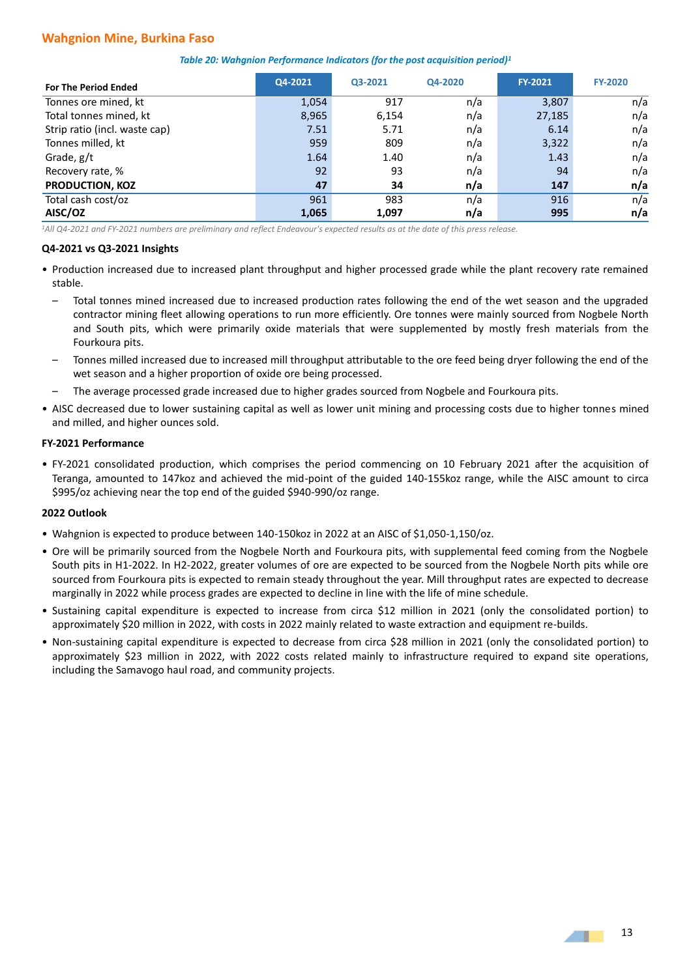## **Wahgnion Mine, Burkina Faso**

| Table 20: Wahgnion Performance Indicators (for the post acquisition period) <sup>1</sup> |  |  |  |  |  |
|------------------------------------------------------------------------------------------|--|--|--|--|--|
|------------------------------------------------------------------------------------------|--|--|--|--|--|

| <b>For The Period Ended</b>   | Q4-2021 | Q3-2021 | Q4-2020 | <b>FY-2021</b> | <b>FY-2020</b> |
|-------------------------------|---------|---------|---------|----------------|----------------|
| Tonnes ore mined, kt          | 1,054   | 917     | n/a     | 3,807          | n/a            |
| Total tonnes mined, kt        | 8,965   | 6,154   | n/a     | 27,185         | n/a            |
| Strip ratio (incl. waste cap) | 7.51    | 5.71    | n/a     | 6.14           | n/a            |
| Tonnes milled, kt             | 959     | 809     | n/a     | 3,322          | n/a            |
| Grade, g/t                    | 1.64    | 1.40    | n/a     | 1.43           | n/a            |
| Recovery rate, %              | 92      | 93      | n/a     | 94             | n/a            |
| <b>PRODUCTION, KOZ</b>        | 47      | 34      | n/a     | 147            | n/a            |
| Total cash cost/oz            | 961     | 983     | n/a     | 916            | n/a            |
| AISC/OZ                       | 1,065   | 1,097   | n/a     | 995            | n/a            |

*<sup>1</sup>All Q4-2021 and FY-2021 numbers are preliminary and reflect Endeavour's expected results as at the date of this press release.*

#### **Q4-2021 vs Q3-2021 Insights**

- Production increased due to increased plant throughput and higher processed grade while the plant recovery rate remained stable.
	- Total tonnes mined increased due to increased production rates following the end of the wet season and the upgraded contractor mining fleet allowing operations to run more efficiently. Ore tonnes were mainly sourced from Nogbele North and South pits, which were primarily oxide materials that were supplemented by mostly fresh materials from the Fourkoura pits.
	- Tonnes milled increased due to increased mill throughput attributable to the ore feed being dryer following the end of the wet season and a higher proportion of oxide ore being processed.
	- The average processed grade increased due to higher grades sourced from Nogbele and Fourkoura pits.
- AISC decreased due to lower sustaining capital as well as lower unit mining and processing costs due to higher tonnes mined and milled, and higher ounces sold.

#### **FY-2021 Performance**

• FY-2021 consolidated production, which comprises the period commencing on 10 February 2021 after the acquisition of Teranga, amounted to 147koz and achieved the mid-point of the guided 140-155koz range, while the AISC amount to circa \$995/oz achieving near the top end of the guided \$940-990/oz range.

#### **2022 Outlook**

- Wahgnion is expected to produce between 140-150koz in 2022 at an AISC of \$1,050-1,150/oz.
- Ore will be primarily sourced from the Nogbele North and Fourkoura pits, with supplemental feed coming from the Nogbele South pits in H1-2022. In H2-2022, greater volumes of ore are expected to be sourced from the Nogbele North pits while ore sourced from Fourkoura pits is expected to remain steady throughout the year. Mill throughput rates are expected to decrease marginally in 2022 while process grades are expected to decline in line with the life of mine schedule.
- Sustaining capital expenditure is expected to increase from circa \$12 million in 2021 (only the consolidated portion) to approximately \$20 million in 2022, with costs in 2022 mainly related to waste extraction and equipment re-builds.
- Non-sustaining capital expenditure is expected to decrease from circa \$28 million in 2021 (only the consolidated portion) to approximately \$23 million in 2022, with 2022 costs related mainly to infrastructure required to expand site operations, including the Samavogo haul road, and community projects.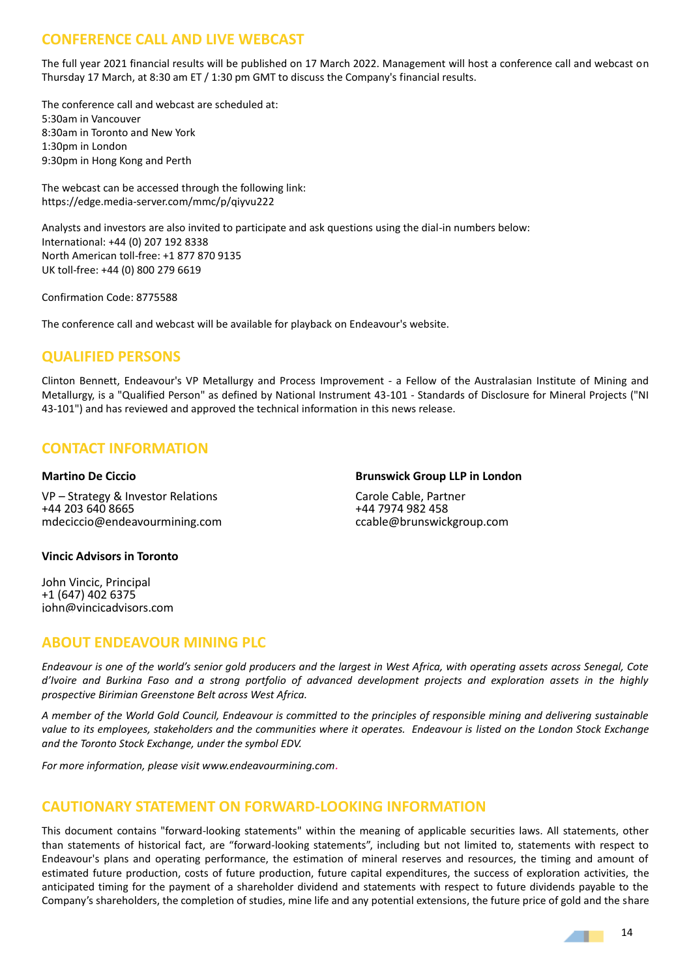# **CONFERENCE CALL AND LIVE WEBCAST**

The full year 2021 financial results will be published on 17 March 2022. Management will host a conference call and webcast on Thursday 17 March, at 8:30 am ET / 1:30 pm GMT to discuss the Company's financial results.

The conference call and webcast are scheduled at: 5:30am in Vancouver 8:30am in Toronto and New York 1:30pm in London 9:30pm in Hong Kong and Perth

The webcast can be accessed through the following link: https://edge.media-server.com/mmc/p/qiyvu222

Analysts and investors are also invited to participate and ask questions using the dial-in numbers below: International: +44 (0) 207 192 8338 North American toll-free: +1 877 870 9135 UK toll-free: +44 (0) 800 279 6619

Confirmation Code: 8775588

The conference call and webcast will be available for playback on Endeavour's website.

# **QUALIFIED PERSONS**

Clinton Bennett, Endeavour's VP Metallurgy and Process Improvement - a Fellow of the Australasian Institute of Mining and Metallurgy, is a "Qualified Person" as defined by National Instrument 43-101 - Standards of Disclosure for Mineral Projects ("NI 43-101") and has reviewed and approved the technical information in this news release.

# **CONTACT INFORMATION**

## **Martino De Ciccio**

VP – Strategy & Investor Relations +44 203 640 8665 mdeciccio@endeavourmining.com

## **Brunswick Group LLP in London**

Carole Cable, Partner +44 7974 982 458 ccable@brunswickgroup.com

## **Vincic Advisors in Toronto**

John Vincic, Principal +1 (647) 402 6375 john@vincicadvisors.com

# **ABOUT ENDEAVOUR MINING PLC**

*Endeavour is one of the world's senior gold producers and the largest in West Africa, with operating assets across Senegal, Cote d'Ivoire and Burkina Faso and a strong portfolio of advanced development projects and exploration assets in the highly prospective Birimian Greenstone Belt across West Africa.* 

*A member of the World Gold Council, Endeavour is committed to the principles of responsible mining and delivering sustainable* value to its employees, stakeholders and the communities where it operates. Endeavour is listed on the London Stock Exchange *and the Toronto Stock Exchange, under the symbol EDV.*

*For more information, please visit www.endeavourmining.com.*

# **CAUTIONARY STATEMENT ON FORWARD-LOOKING INFORMATION**

This document contains "forward-looking statements" within the meaning of applicable securities laws. All statements, other than statements of historical fact, are "forward-looking statements", including but not limited to, statements with respect to Endeavour's plans and operating performance, the estimation of mineral reserves and resources, the timing and amount of estimated future production, costs of future production, future capital expenditures, the success of exploration activities, the anticipated timing for the payment of a shareholder dividend and statements with respect to future dividends payable to the Company's shareholders, the completion of studies, mine life and any potential extensions, the future price of gold and the share

14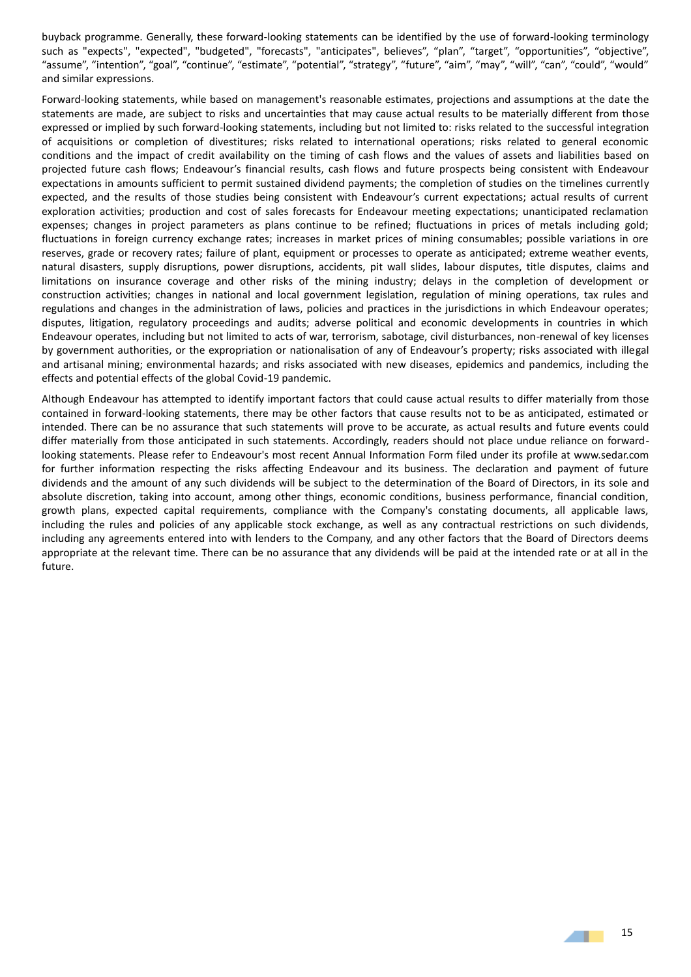buyback programme. Generally, these forward-looking statements can be identified by the use of forward-looking terminology such as "expects", "expected", "budgeted", "forecasts", "anticipates", believes", "plan", "target", "opportunities", "objective", "assume", "intention", "goal", "continue", "estimate", "potential", "strategy", "future", "aim", "may", "will", "can", "could", "would" and similar expressions.

Forward-looking statements, while based on management's reasonable estimates, projections and assumptions at the date the statements are made, are subject to risks and uncertainties that may cause actual results to be materially different from those expressed or implied by such forward-looking statements, including but not limited to: risks related to the successful integration of acquisitions or completion of divestitures; risks related to international operations; risks related to general economic conditions and the impact of credit availability on the timing of cash flows and the values of assets and liabilities based on projected future cash flows; Endeavour's financial results, cash flows and future prospects being consistent with Endeavour expectations in amounts sufficient to permit sustained dividend payments; the completion of studies on the timelines currently expected, and the results of those studies being consistent with Endeavour's current expectations; actual results of current exploration activities; production and cost of sales forecasts for Endeavour meeting expectations; unanticipated reclamation expenses; changes in project parameters as plans continue to be refined; fluctuations in prices of metals including gold; fluctuations in foreign currency exchange rates; increases in market prices of mining consumables; possible variations in ore reserves, grade or recovery rates; failure of plant, equipment or processes to operate as anticipated; extreme weather events, natural disasters, supply disruptions, power disruptions, accidents, pit wall slides, labour disputes, title disputes, claims and limitations on insurance coverage and other risks of the mining industry; delays in the completion of development or construction activities; changes in national and local government legislation, regulation of mining operations, tax rules and regulations and changes in the administration of laws, policies and practices in the jurisdictions in which Endeavour operates; disputes, litigation, regulatory proceedings and audits; adverse political and economic developments in countries in which Endeavour operates, including but not limited to acts of war, terrorism, sabotage, civil disturbances, non-renewal of key licenses by government authorities, or the expropriation or nationalisation of any of Endeavour's property; risks associated with illegal and artisanal mining; environmental hazards; and risks associated with new diseases, epidemics and pandemics, including the effects and potential effects of the global Covid-19 pandemic.

Although Endeavour has attempted to identify important factors that could cause actual results to differ materially from those contained in forward-looking statements, there may be other factors that cause results not to be as anticipated, estimated or intended. There can be no assurance that such statements will prove to be accurate, as actual results and future events could differ materially from those anticipated in such statements. Accordingly, readers should not place undue reliance on forwardlooking statements. Please refer to Endeavour's most recent Annual Information Form filed under its profile at www.sedar.com for further information respecting the risks affecting Endeavour and its business. The declaration and payment of future dividends and the amount of any such dividends will be subject to the determination of the Board of Directors, in its sole and absolute discretion, taking into account, among other things, economic conditions, business performance, financial condition, growth plans, expected capital requirements, compliance with the Company's constating documents, all applicable laws, including the rules and policies of any applicable stock exchange, as well as any contractual restrictions on such dividends, including any agreements entered into with lenders to the Company, and any other factors that the Board of Directors deems appropriate at the relevant time. There can be no assurance that any dividends will be paid at the intended rate or at all in the future.

- 1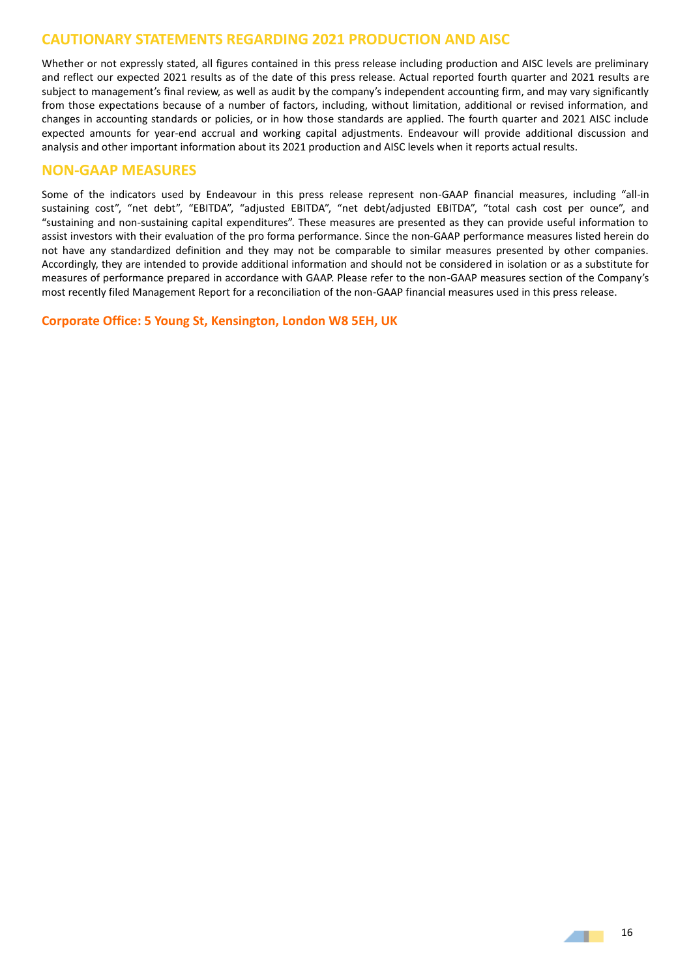# **CAUTIONARY STATEMENTS REGARDING 2021 PRODUCTION AND AISC**

Whether or not expressly stated, all figures contained in this press release including production and AISC levels are preliminary and reflect our expected 2021 results as of the date of this press release. Actual reported fourth quarter and 2021 results are subject to management's final review, as well as audit by the company's independent accounting firm, and may vary significantly from those expectations because of a number of factors, including, without limitation, additional or revised information, and changes in accounting standards or policies, or in how those standards are applied. The fourth quarter and 2021 AISC include expected amounts for year-end accrual and working capital adjustments. Endeavour will provide additional discussion and analysis and other important information about its 2021 production and AISC levels when it reports actual results.

# **NON-GAAP MEASURES**

Some of the indicators used by Endeavour in this press release represent non-GAAP financial measures, including "all-in sustaining cost", "net debt", "EBITDA", "adjusted EBITDA", "net debt/adjusted EBITDA", "total cash cost per ounce", and "sustaining and non-sustaining capital expenditures". These measures are presented as they can provide useful information to assist investors with their evaluation of the pro forma performance. Since the non-GAAP performance measures listed herein do not have any standardized definition and they may not be comparable to similar measures presented by other companies. Accordingly, they are intended to provide additional information and should not be considered in isolation or as a substitute for measures of performance prepared in accordance with GAAP. Please refer to the non-GAAP measures section of the Company's most recently filed Management Report for a reconciliation of the non-GAAP financial measures used in this press release.

**Corporate Office: 5 Young St, Kensington, London W8 5EH, UK**

41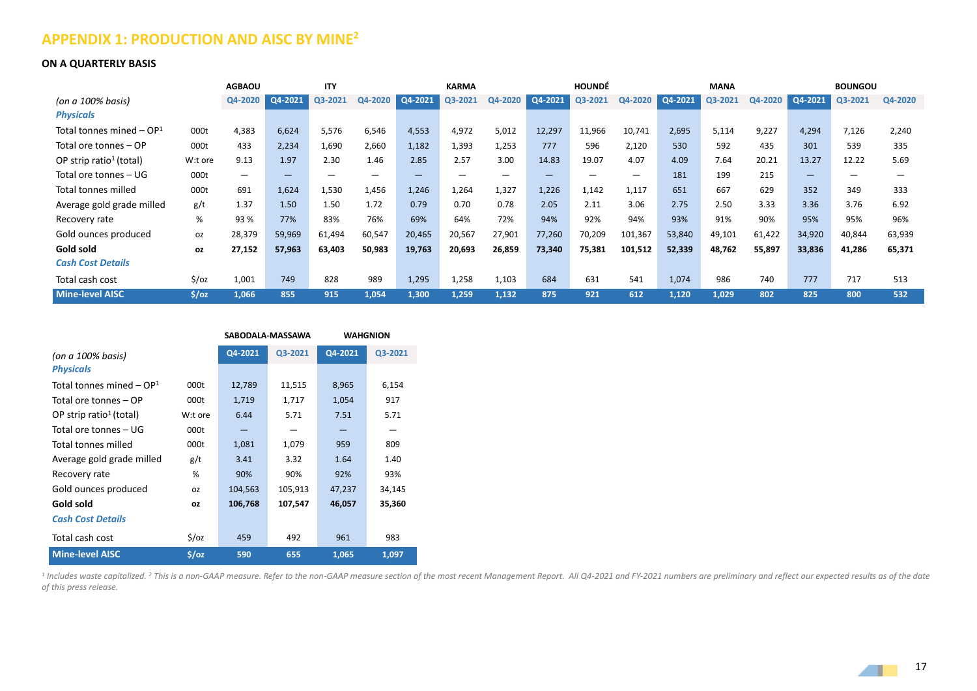# **APPENDIX 1: PRODUCTION AND AISC BY MINE<sup>2</sup>**

#### **ON A QUARTERLY BASIS**

|                                      |                   | <b>AGBAOU</b>            |                                | <b>ITY</b> |         |             | <b>KARMA</b> |         |                 | <b>HOUNDÉ</b> |                          |         | <b>MANA</b> |         |         | <b>BOUNGOU</b> |         |
|--------------------------------------|-------------------|--------------------------|--------------------------------|------------|---------|-------------|--------------|---------|-----------------|---------------|--------------------------|---------|-------------|---------|---------|----------------|---------|
| (on a $100\%$ basis)                 |                   | Q4-2020                  | Q4-2021                        | Q3-2021    | Q4-2020 | $Q4 - 2021$ | Q3-2021      | Q4-2020 | $\log 4 - 2021$ | Q3-2021       | Q4-2020                  | Q4-2021 | Q3-2021     | Q4-2020 | Q4-2021 | Q3-2021        | Q4-2020 |
| <b>Physicals</b>                     |                   |                          |                                |            |         |             |              |         |                 |               |                          |         |             |         |         |                |         |
| Total tonnes mined – OP <sup>1</sup> | 000t              | 4,383                    | 6,624                          | 5,576      | 6,546   | 4,553       | 4,972        | 5,012   | 12,297          | 11,966        | 10,741                   | 2,695   | 5,114       | 9,227   | 4,294   | 7,126          | 2,240   |
| Total ore tonnes – OP                | 000t              | 433                      | 2,234                          | 1,690      | 2,660   | 1,182       | 1,393        | 1,253   | 777             | 596           | 2,120                    | 530     | 592         | 435     | 301     | 539            | 335     |
| OP strip ratio <sup>1</sup> (total)  | W:t ore           | 9.13                     | 1.97                           | 2.30       | 1.46    | 2.85        | 2.57         | 3.00    | 14.83           | 19.07         | 4.07                     | 4.09    | 7.64        | 20.21   | 13.27   | 12.22          | 5.69    |
| Total ore tonnes – UG                | 000t              | $\overline{\phantom{m}}$ | $\qquad \qquad \longleftarrow$ |            |         | _           |              |         |                 |               | $\overline{\phantom{m}}$ | 181     | 199         | 215     | -       |                |         |
| Total tonnes milled                  | 000t              | 691                      | 1,624                          | 1,530      | 1,456   | 1,246       | 1,264        | 1,327   | 1,226           | 1,142         | 1,117                    | 651     | 667         | 629     | 352     | 349            | 333     |
| Average gold grade milled            | g/t               | 1.37                     | 1.50                           | 1.50       | 1.72    | 0.79        | 0.70         | 0.78    | 2.05            | 2.11          | 3.06                     | 2.75    | 2.50        | 3.33    | 3.36    | 3.76           | 6.92    |
| Recovery rate                        | $\%$              | 93 %                     | 77%                            | 83%        | 76%     | 69%         | 64%          | 72%     | 94%             | 92%           | 94%                      | 93%     | 91%         | 90%     | 95%     | 95%            | 96%     |
| Gold ounces produced                 | oz                | 28,379                   | 59,969                         | 61,494     | 60,547  | 20,465      | 20,567       | 27,901  | 77,260          | 70,209        | 101,367                  | 53,840  | 49,101      | 61,422  | 34,920  | 40,844         | 63,939  |
| Gold sold                            | OZ.               | 27,152                   | 57,963                         | 63,403     | 50,983  | 19,763      | 20,693       | 26,859  | 73,340          | 75,381        | 101,512                  | 52,339  | 48,762      | 55,897  | 33,836  | 41,286         | 65,371  |
| <b>Cash Cost Details</b>             |                   |                          |                                |            |         |             |              |         |                 |               |                          |         |             |         |         |                |         |
| Total cash cost                      | $\frac{1}{2}$ /oz | 1,001                    | 749                            | 828        | 989     | 1,295       | 1,258        | 1,103   | 684             | 631           | 541                      | 1,074   | 986         | 740     | 777     | 717            | 513     |
| <b>Mine-level AISC</b>               | $5/\text{o}z$     | 1,066                    | 855                            | 915        | 1,054   | 1,300       | 1,259        | 1,132   | 875             | 921           | 612                      | 1,120   | 1,029       | 802     | 825     | 800            | 532     |

|                                        |               | SABODALA-MASSAWA |         | <b>WAHGNION</b> |         |  |
|----------------------------------------|---------------|------------------|---------|-----------------|---------|--|
| (on a 100% basis)                      |               | Q4-2021          | Q3-2021 | Q4-2021         | Q3-2021 |  |
| <b>Physicals</b>                       |               |                  |         |                 |         |  |
| Total tonnes mined $-$ OP <sup>1</sup> | 000t          | 12,789           | 11,515  | 8,965           | 6,154   |  |
| Total ore tonnes – OP                  | 000t          | 1,719            | 1,717   | 1,054           | 917     |  |
| OP strip ratio <sup>1</sup> (total)    | W:t ore       | 6.44             | 5.71    | 7.51            | 5.71    |  |
| Total ore tonnes – UG                  | 000t          |                  |         |                 |         |  |
| Total tonnes milled                    | 000t          | 1,081            | 1,079   | 959             | 809     |  |
| Average gold grade milled              | g/t           | 3.41             | 3.32    | 1.64            | 1.40    |  |
| Recovery rate                          | %             | 90%              | 90%     | 92%             | 93%     |  |
| Gold ounces produced                   | <b>OZ</b>     | 104,563          | 105,913 | 47,237          | 34,145  |  |
| Gold sold                              | ΟZ            | 106,768          | 107,547 | 46,057          | 35,360  |  |
| <b>Cash Cost Details</b>               |               |                  |         |                 |         |  |
| Total cash cost                        | $5$ /oz       | 459              | 492     | 961             | 983     |  |
| <b>Mine-level AISC</b>                 | $5/\text{oz}$ | 590              | 655     | 1,065           | 1,097   |  |

<sup>1</sup> Includes waste capitalized. <sup>2</sup> This is a non-GAAP measure. Refer to the non-GAAP measure section of the most recent Management Report. All Q4-2021 and FY-2021 numbers are preliminary and reflect our expected results a *of this press release.*